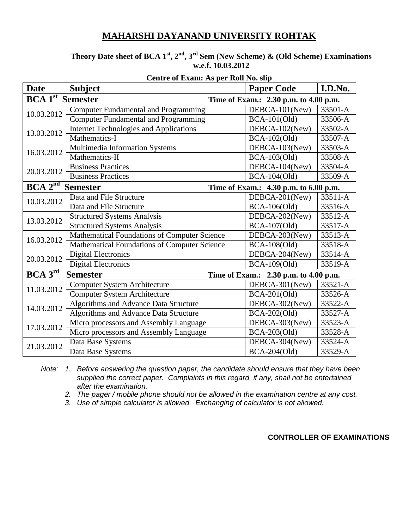#### **Theory Date sheet of BCA**  $1^{st}$ **,**  $2^{nd}$ **,**  $3^{rd}$  **Sem (New Scheme) & (Old Scheme) Examinations w.e.f. 10.03.2012**

| <b>Date</b>                                                                  | <b>Subject</b>                                | <b>Paper Code</b>                     | I.D.No. |  |
|------------------------------------------------------------------------------|-----------------------------------------------|---------------------------------------|---------|--|
| <b>BCA</b> 1 <sup>st</sup> Semester<br>Time of Exam.: 2.30 p.m. to 4.00 p.m. |                                               |                                       |         |  |
| 10.03.2012                                                                   | <b>Computer Fundamental and Programming</b>   | DEBCA-101(New)                        | 33501-A |  |
|                                                                              | <b>Computer Fundamental and Programming</b>   | $BCA-101(Old)$                        | 33506-A |  |
| 13.03.2012                                                                   | <b>Internet Technologies and Applications</b> | DEBCA-102(New)                        | 33502-A |  |
|                                                                              | Mathematics-I                                 | BCA-102(Old)                          | 33507-A |  |
| 16.03.2012                                                                   | Multimedia Information Systems                | DEBCA-103(New)                        | 33503-A |  |
|                                                                              | Mathematics-II                                | BCA-103(Old)                          | 33508-A |  |
| 20.03.2012                                                                   | <b>Business Practices</b>                     | DEBCA-104(New)                        | 33504-A |  |
|                                                                              | <b>Business Practices</b>                     | BCA-104(Old)                          | 33509-A |  |
| BCA 2 <sup>n</sup>                                                           | <b>Semester</b>                               | Time of Exam.: 4.30 p.m. to 6.00 p.m. |         |  |
| 10.03.2012                                                                   | Data and File Structure                       | DEBCA-201(New)                        | 33511-A |  |
|                                                                              | Data and File Structure                       | BCA-106(Old)                          | 33516-A |  |
| 13.03.2012                                                                   | <b>Structured Systems Analysis</b>            | DEBCA-202(New)                        | 33512-A |  |
|                                                                              | <b>Structured Systems Analysis</b>            | BCA-107(Old)                          | 33517-A |  |
| 16.03.2012                                                                   | Mathematical Foundations of Computer Science  | DEBCA-203(New)                        | 33513-A |  |
|                                                                              | Mathematical Foundations of Computer Science  | BCA-108(Old)                          | 33518-A |  |
| 20.03.2012                                                                   | <b>Digital Electronics</b>                    | DEBCA-204(New)                        | 33514-A |  |
|                                                                              | Digital Electronics                           | BCA-109(Old)                          | 33519-A |  |
| BCA 3 <sup>rd</sup>                                                          | <b>Semester</b>                               | Time of Exam.: 2.30 p.m. to 4.00 p.m. |         |  |
| 11.03.2012                                                                   | <b>Computer System Architecture</b>           | DEBCA-301(New)                        | 33521-A |  |
|                                                                              | <b>Computer System Architecture</b>           | <b>BCA-201(Old)</b>                   | 33526-A |  |
| 14.03.2012                                                                   | Algorithms and Advance Data Structure         | DEBCA-302(New)                        | 33522-A |  |
|                                                                              | Algorithms and Advance Data Structure         | BCA-202(Old)                          | 33527-A |  |
| 17.03.2012                                                                   | Micro processors and Assembly Language        | DEBCA-303(New)                        | 33523-A |  |
|                                                                              | Micro processors and Assembly Language        | BCA-203(Old)                          | 33528-A |  |
| 21.03.2012                                                                   | Data Base Systems                             | DEBCA-304(New)                        | 33524-A |  |
|                                                                              | Data Base Systems                             | BCA-204(Old)                          | 33529-A |  |

#### **Centre of Exam: As per Roll No. slip**

*Note: 1. Before answering the question paper, the candidate should ensure that they have been supplied the correct paper. Complaints in this regard, if any, shall not be entertained after the examination.*

*2. The pager / mobile phone should not be allowed in the examination centre at any cost.*

*3. Use of simple calculator is allowed. Exchanging of calculator is not allowed.*

**CONTROLLER OF EXAMINATIONS**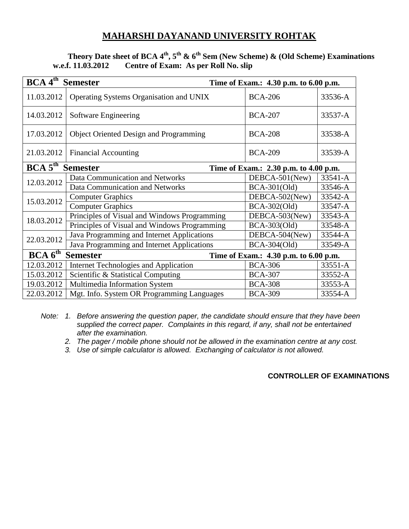### **Theory Date sheet of BCA 4th, 5th & 6th Sem (New Scheme) & (Old Scheme) Examinations w.e.f. 11.03.2012 Centre of Exam: As per Roll No. slip**

| BCA 4 <sup>th</sup><br><b>Semester</b>                                          |                                               |                |         |  |
|---------------------------------------------------------------------------------|-----------------------------------------------|----------------|---------|--|
| Time of Exam.: 4.30 p.m. to 6.00 p.m.                                           |                                               |                |         |  |
| 11.03.2012                                                                      | Operating Systems Organisation and UNIX       | <b>BCA-206</b> | 33536-A |  |
| 14.03.2012                                                                      | Software Engineering                          | <b>BCA-207</b> | 33537-A |  |
| 17.03.2012                                                                      | <b>Object Oriented Design and Programming</b> | <b>BCA-208</b> | 33538-A |  |
| 21.03.2012                                                                      | <b>Financial Accounting</b>                   | <b>BCA-209</b> | 33539-A |  |
| BCA 5 <sup>th</sup><br><b>Semester</b><br>Time of Exam.: 2.30 p.m. to 4.00 p.m. |                                               |                |         |  |
| 12.03.2012                                                                      | Data Communication and Networks               | DEBCA-501(New) | 33541-A |  |
|                                                                                 | Data Communication and Networks               | $BCA-301(Old)$ | 33546-A |  |
| 15.03.2012                                                                      | <b>Computer Graphics</b>                      | DEBCA-502(New) | 33542-A |  |
|                                                                                 | <b>Computer Graphics</b>                      | BCA-302(Old)   | 33547-A |  |
| 18.03.2012                                                                      | Principles of Visual and Windows Programming  | DEBCA-503(New) | 33543-A |  |
|                                                                                 | Principles of Visual and Windows Programming  | BCA-303(Old)   | 33548-A |  |
| 22.03.2012                                                                      | Java Programming and Internet Applications    | DEBCA-504(New) | 33544-A |  |
|                                                                                 | Java Programming and Internet Applications    | BCA-304(Old)   | 33549-A |  |
| BCA 6 <sup>th</sup><br><b>Semester</b><br>Time of Exam.: 4.30 p.m. to 6.00 p.m. |                                               |                |         |  |
| 12.03.2012                                                                      | <b>Internet Technologies and Application</b>  | <b>BCA-306</b> | 33551-A |  |
| 15.03.2012                                                                      | Scientific & Statistical Computing            | <b>BCA-307</b> | 33552-A |  |
| 19.03.2012                                                                      | Multimedia Information System                 | <b>BCA-308</b> | 33553-A |  |
| 22.03.2012                                                                      | Mgt. Info. System OR Programming Languages    | <b>BCA-309</b> | 33554-A |  |

*Note: 1. Before answering the question paper, the candidate should ensure that they have been supplied the correct paper. Complaints in this regard, if any, shall not be entertained after the examination.*

*2. The pager / mobile phone should not be allowed in the examination centre at any cost.*

*3. Use of simple calculator is allowed. Exchanging of calculator is not allowed.*

#### **CONTROLLER OF EXAMINATIONS**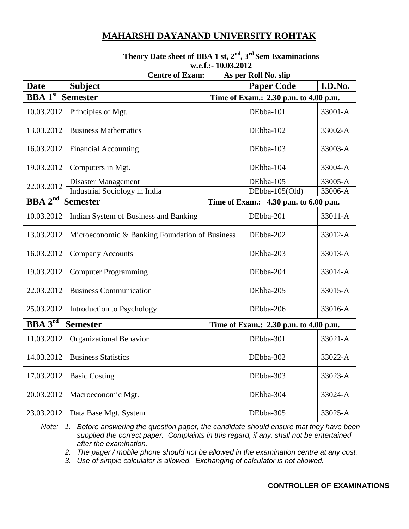# **Theory Date sheet of BBA 1 st, 2 nd , 3 rd Sem Examinations w.e.f.:-10.03.2012**<br>Contro of Example 4.6 por B

|                                                                                 | Centre of Exam:<br>AS PET KOIL IVO. SIIP                                              |                   |         |  |
|---------------------------------------------------------------------------------|---------------------------------------------------------------------------------------|-------------------|---------|--|
| <b>Date</b>                                                                     | <b>Subject</b>                                                                        | <b>Paper Code</b> | I.D.No. |  |
| <b>BBA</b> <sup>1st</sup> Semester<br>Time of Exam.: 2.30 p.m. to 4.00 p.m.     |                                                                                       |                   |         |  |
| 10.03.2012                                                                      | Principles of Mgt.                                                                    | DEbba-101         | 33001-A |  |
| 13.03.2012                                                                      | <b>Business Mathematics</b>                                                           | DEbba-102         | 33002-A |  |
| 16.03.2012                                                                      | <b>Financial Accounting</b>                                                           | DEbba-103         | 33003-A |  |
| 19.03.2012                                                                      | Computers in Mgt.                                                                     | DEbba-104         | 33004-A |  |
|                                                                                 | Disaster Management                                                                   | DEbba-105         | 33005-A |  |
| 22.03.2012                                                                      | <b>Industrial Sociology in India</b>                                                  | DEbba-105(Old)    | 33006-A |  |
| <b>BBA</b> $2^{nd}$<br><b>Semester</b><br>Time of Exam.: 4.30 p.m. to 6.00 p.m. |                                                                                       |                   |         |  |
| 10.03.2012                                                                      | Indian System of Business and Banking                                                 | DEbba-201         | 33011-A |  |
| 13.03.2012                                                                      | Microeconomic & Banking Foundation of Business                                        | DEbba-202         | 33012-A |  |
| 16.03.2012                                                                      | <b>Company Accounts</b>                                                               | DEbba-203         | 33013-A |  |
| 19.03.2012                                                                      | <b>Computer Programming</b>                                                           | DEbba-204         | 33014-A |  |
| 22.03.2012                                                                      | <b>Business Communication</b>                                                         | DEbba-205         | 33015-A |  |
| 25.03.2012                                                                      | Introduction to Psychology                                                            | DEbba-206         | 33016-A |  |
|                                                                                 | <b>BBA</b> <sup>3rd</sup><br><b>Semester</b><br>Time of Exam.: 2.30 p.m. to 4.00 p.m. |                   |         |  |
| 11.03.2012                                                                      | Organizational Behavior                                                               | DEbba-301         | 33021-A |  |
| 14.03.2012                                                                      | <b>Business Statistics</b>                                                            | DEbba-302         | 33022-A |  |
| 17.03.2012                                                                      | <b>Basic Costing</b>                                                                  | DEbba-303         | 33023-A |  |
| 20.03.2012                                                                      | Macroeconomic Mgt.                                                                    | DEbba-304         | 33024-A |  |
| 23.03.2012                                                                      | Data Base Mgt. System                                                                 | DEbba-305         | 33025-A |  |

#### **Centre of Exam: As per Roll No. slip**

*Note: 1. Before answering the question paper, the candidate should ensure that they have been supplied the correct paper. Complaints in this regard, if any, shall not be entertained after the examination.*

*2. The pager / mobile phone should not be allowed in the examination centre at any cost.*

*3. Use of simple calculator is allowed. Exchanging of calculator is not allowed.*